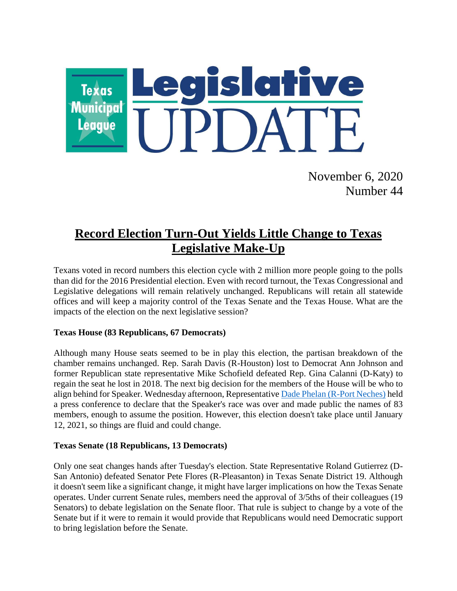

November 6, 2020 Number 44

# **Record Election Turn-Out Yields Little Change to Texas Legislative Make-Up**

Texans voted in record numbers this election cycle with 2 million more people going to the polls than did for the 2016 Presidential election. Even with record turnout, the Texas Congressional and Legislative delegations will remain relatively unchanged. Republicans will retain all statewide offices and will keep a majority control of the Texas Senate and the Texas House. What are the impacts of the election on the next legislative session?

### **Texas House (83 Republicans, 67 Democrats)**

Although many House seats seemed to be in play this election, the partisan breakdown of the chamber remains unchanged. Rep. Sarah Davis (R-Houston) lost to Democrat Ann Johnson and former Republican state representative Mike Schofield defeated Rep. Gina Calanni (D-Katy) to regain the seat he lost in 2018. The next big decision for the members of the House will be who to align behind for Speaker. Wednesday afternoon, Representative Dade [Phelan \(R-Port Neches\)](https://house.texas.gov/members/member-page/?district=21) held a press conference to declare that the Speaker's race was over and made public the names of 83 members, enough to assume the position. However, this election doesn't take place until January 12, 2021, so things are fluid and could change.

#### **Texas Senate (18 Republicans, 13 Democrats)**

Only one seat changes hands after Tuesday's election. State Representative Roland Gutierrez (D-San Antonio) defeated Senator Pete Flores (R-Pleasanton) in Texas Senate District 19. Although it doesn't seem like a significant change, it might have larger implications on how the Texas Senate operates. Under current Senate rules, members need the approval of 3/5ths of their colleagues (19 Senators) to debate legislation on the Senate floor. That rule is subject to change by a vote of the Senate but if it were to remain it would provide that Republicans would need Democratic support to bring legislation before the Senate.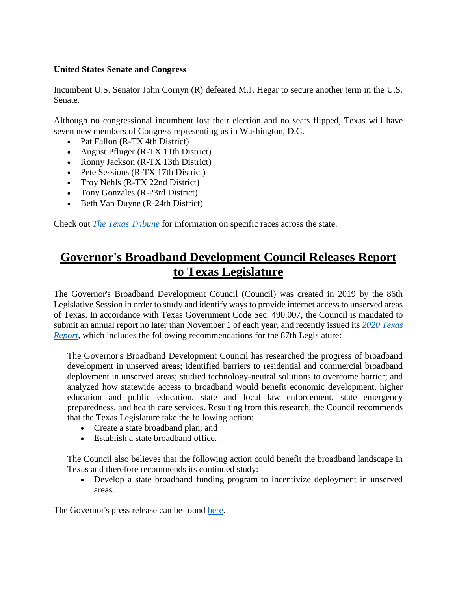### **United States Senate and Congress**

Incumbent U.S. Senator John Cornyn (R) defeated M.J. Hegar to secure another term in the U.S. Senate.

Although no congressional incumbent lost their election and no seats flipped, Texas will have seven new members of Congress representing us in Washington, D.C.

- Pat Fallon (R-TX 4th District)
- August Pfluger (R-TX 11th District)
- Ronny Jackson (R-TX 13th District)
- Pete Sessions (R-TX 17th District)
- Troy Nehls (R-TX 22nd District)
- Tony Gonzales (R-23rd District)
- Beth Van Duyne (R-24th District)

Check out *[The Texas Tribune](https://apps.texastribune.org/features/2020/general-election-results/?_ga=2.60680238.2084806838.1604515136-2058018359.1603980739)* for information on specific races across the state.

## **Governor's Broadband Development Council Releases Report to Texas Legislature**

The Governor's Broadband Development Council (Council) was created in 2019 by the 86th Legislative Session in order to study and identify ways to provide internet access to unserved areas of Texas. In accordance with Texas Government Code Sec. 490.007, the Council is mandated to submit an annual report no later than November 1 of each year, and recently issued its *[2020 Texas](https://gov.texas.gov/uploads/files/press/2020_Texas_Report_-_Governors_Broadband_Development_Council.pdf)  [Report,](https://gov.texas.gov/uploads/files/press/2020_Texas_Report_-_Governors_Broadband_Development_Council.pdf)* which includes the following recommendations for the 87th Legislature:

The Governor's Broadband Development Council has researched the progress of broadband development in unserved areas; identified barriers to residential and commercial broadband deployment in unserved areas; studied technology-neutral solutions to overcome barrier; and analyzed how statewide access to broadband would benefit economic development, higher education and public education, state and local law enforcement, state emergency preparedness, and health care services. Resulting from this research, the Council recommends that the Texas Legislature take the following action:

- Create a state broadband plan; and
- Establish a state broadband office.

The Council also believes that the following action could benefit the broadband landscape in Texas and therefore recommends its continued study:

 Develop a state broadband funding program to incentivize deployment in unserved areas.

The Governor's press release can be found [here.](https://gov.texas.gov/news/post/governors-broadband-development-council-issues-first-report-to-texas-legislature)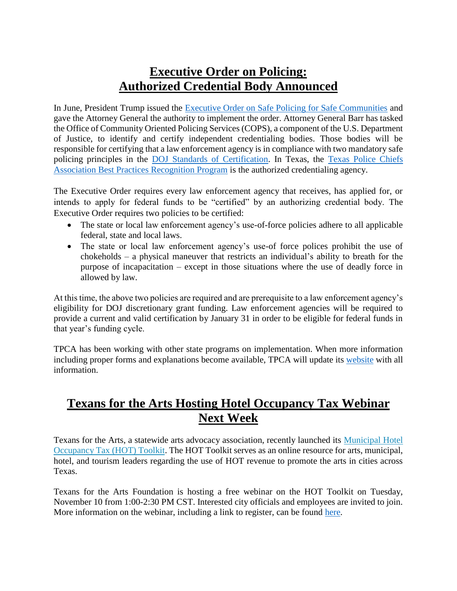## **Executive Order on Policing: Authorized Credential Body Announced**

In June, President Trump issued the [Executive Order on Safe Policing for Safe Communities](https://www.whitehouse.gov/presidential-actions/executive-order-safe-policing-safe-communities/) and gave the Attorney General the authority to implement the order. Attorney General Barr has tasked the Office of Community Oriented Policing Services (COPS), a component of the U.S. Department of Justice, to identify and certify independent credentialing bodies. Those bodies will be responsible for certifying that a law enforcement agency is in compliance with two mandatory safe policing principles in the [DOJ Standards of Certification.](https://cops.usdoj.gov/pdf/executive_order/Principles_on_Safe_Policing_and_Use_of_Force.pdf) In Texas, the [Texas Police Chiefs](https://www.texaspolicechiefs.org/recognition-program)  [Association Best Practices Recognition Program](https://www.texaspolicechiefs.org/recognition-program) is the authorized credentialing agency.

The Executive Order requires every law enforcement agency that receives, has applied for, or intends to apply for federal funds to be "certified" by an authorizing credential body. The Executive Order requires two policies to be certified:

- The state or local law enforcement agency's use-of-force policies adhere to all applicable federal, state and local laws.
- The state or local law enforcement agency's use-of force polices prohibit the use of chokeholds – a physical maneuver that restricts an individual's ability to breath for the purpose of incapacitation – except in those situations where the use of deadly force in allowed by law.

At this time, the above two policies are required and are prerequisite to a law enforcement agency's eligibility for DOJ discretionary grant funding. Law enforcement agencies will be required to provide a current and valid certification by January 31 in order to be eligible for federal funds in that year's funding cycle.

TPCA has been working with other state programs on implementation. When more information including proper forms and explanations become available, TPCA will update its [website](https://www.texaspolicechiefs.org/doj) with all information.

# **Texans for the Arts Hosting Hotel Occupancy Tax Webinar Next Week**

Texans for the Arts, a statewide arts advocacy association, recently launched its [Municipal Hotel](http://www.texansforthearts.com/r?u=2Fd8IgHrK6x8msupSElMCe2JAJtr_1sdFxvBCEN9Spk&e=406c172ab36483a548f88543eac6f561&utm_source=texansforthearts&utm_medium=email&utm_campaign=november_2nd_update&n=9)  [Occupancy Tax \(HOT\) Toolkit.](http://www.texansforthearts.com/r?u=2Fd8IgHrK6x8msupSElMCe2JAJtr_1sdFxvBCEN9Spk&e=406c172ab36483a548f88543eac6f561&utm_source=texansforthearts&utm_medium=email&utm_campaign=november_2nd_update&n=9) The HOT Toolkit serves as an online resource for arts, municipal, hotel, and tourism leaders regarding the use of HOT revenue to promote the arts in cities across Texas.

Texans for the Arts Foundation is hosting a free webinar on the HOT Toolkit on Tuesday, November 10 from 1:00-2:30 PM CST. Interested city officials and employees are invited to join. More information on the webinar, including a link to register, can be found [here.](https://www.eventbrite.com/e/texans-for-the-arts-foundation-hot-toolkit-public-launch-workshop-registration-126883009497?aff=ebdssbonlinesearch)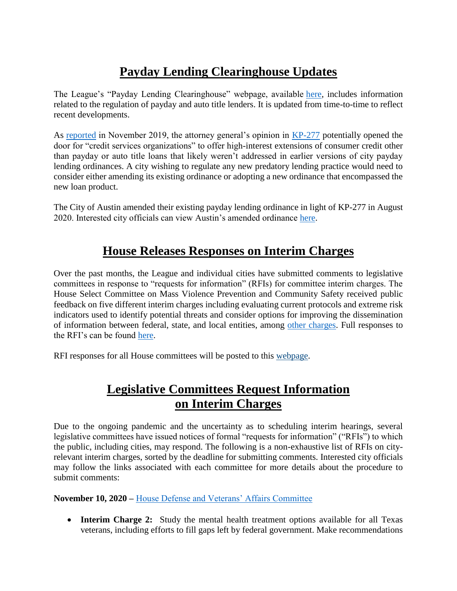# **Payday Lending Clearinghouse Updates**

The League's "Payday Lending Clearinghouse" webpage, available [here,](https://www.tml.org/312/Payday-Lending-Clearinghouse) includes information related to the regulation of payday and auto title lenders. It is updated from time-to-time to reflect recent developments.

As [reported](https://www.tml.org/625/November-8-2019-Number-42#payday) in November 2019, the attorney general's opinion in [KP-277](https://www.texasattorneygeneral.gov/sites/default/files/opinion-files/opinion/2019/kp-0277.pdf) potentially opened the door for "credit services organizations" to offer high-interest extensions of consumer credit other than payday or auto title loans that likely weren't addressed in earlier versions of city payday lending ordinances. A city wishing to regulate any new predatory lending practice would need to consider either amending its existing ordinance or adopting a new ordinance that encompassed the new loan product.

The City of Austin amended their existing payday lending ordinance in light of KP-277 in August 2020. Interested city officials can view Austin's amended ordinance [here.](https://www.tml.org/DocumentCenter/View/2303/City-of-Austin---ORDINANCE-NO-20200730-004)

## **House Releases Responses on Interim Charges**

Over the past months, the League and individual cities have submitted comments to legislative committees in response to "requests for information" (RFIs) for committee interim charges. The House Select Committee on Mass Violence Prevention and Community Safety received public feedback on five different interim charges including evaluating current protocols and extreme risk indicators used to identify potential threats and consider options for improving the dissemination of information between federal, state, and local entities, among [other charges.](https://capitol.texas.gov/tlodocs/86R/schedules/pdf/C3852020100100001.pdf) Full responses to the RFI's can be found [here.](https://capitol.texas.gov/tlodocs/86R/handouts/C3852020100100001/C3852020100100001.pdf)

RFI responses for all House committees will be posted to this [webpage.](https://house.texas.gov/committees/committee/requests-for-information/)

# **Legislative Committees Request Information on Interim Charges**

Due to the ongoing pandemic and the uncertainty as to scheduling interim hearings, several legislative committees have issued notices of formal "requests for information" ("RFIs") to which the public, including cities, may respond. The following is a non-exhaustive list of RFIs on cityrelevant interim charges, sorted by the deadline for submitting comments. Interested city officials may follow the links associated with each committee for more details about the procedure to submit comments:

### **November 10, 2020 –** [House Defense and Veterans' Affairs Committee](https://capitol.texas.gov/tlodocs/86R/schedules/html/C3052020102700001.HTM)

 **Interim Charge 2:** Study the mental health treatment options available for all Texas veterans, including efforts to fill gaps left by federal government. Make recommendations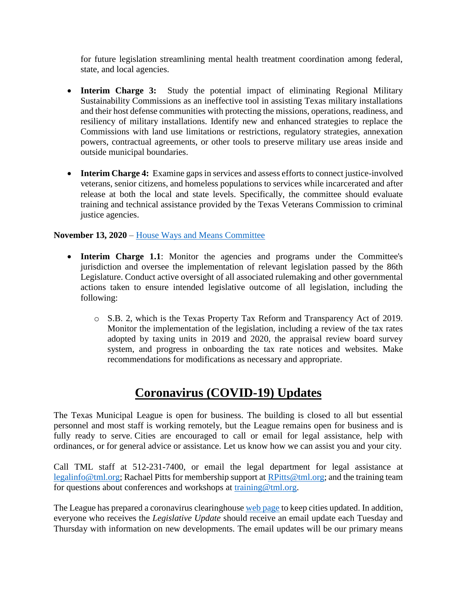for future legislation streamlining mental health treatment coordination among federal, state, and local agencies.

- **Interim Charge 3:** Study the potential impact of eliminating Regional Military Sustainability Commissions as an ineffective tool in assisting Texas military installations and their host defense communities with protecting the missions, operations, readiness, and resiliency of military installations. Identify new and enhanced strategies to replace the Commissions with land use limitations or restrictions, regulatory strategies, annexation powers, contractual agreements, or other tools to preserve military use areas inside and outside municipal boundaries.
- **Interim Charge 4:** Examine gaps in services and assess efforts to connect justice-involved veterans, senior citizens, and homeless populations to services while incarcerated and after release at both the local and state levels. Specifically, the committee should evaluate training and technical assistance provided by the Texas Veterans Commission to criminal justice agencies.

### **November 13, 2020** – [House Ways and Means Committee](https://capitol.texas.gov/tlodocs/86R/schedules/pdf/C4902020072900002.pdf)

- Interim Charge 1.1: Monitor the agencies and programs under the Committee's jurisdiction and oversee the implementation of relevant legislation passed by the 86th Legislature. Conduct active oversight of all associated rulemaking and other governmental actions taken to ensure intended legislative outcome of all legislation, including the following:
	- o S.B. 2, which is the Texas Property Tax Reform and Transparency Act of 2019. Monitor the implementation of the legislation, including a review of the tax rates adopted by taxing units in 2019 and 2020, the appraisal review board survey system, and progress in onboarding the tax rate notices and websites. Make recommendations for modifications as necessary and appropriate.

## **Coronavirus (COVID-19) Updates**

The Texas Municipal League is open for business. The building is closed to all but essential personnel and most staff is working remotely, but the League remains open for business and is fully ready to serve. Cities are encouraged to call or email for legal assistance, help with ordinances, or for general advice or assistance. Let us know how we can assist you and your city.

Call TML staff at 512-231-7400, or email the legal department for legal assistance at [legalinfo@tml.org;](mailto:legalinfo@tml.org) Rachael Pitts for membership support at [RPitts@tml.org;](mailto:RPitts@tml.org) and the training team for questions about conferences and workshops at [training@tml.org.](mailto:training@tml.org)

The League has prepared a coronavirus clearinghous[e web page](https://www.tml.org/654/Coronavirus-COVID-19-Resources) to keep cities updated. In addition, everyone who receives the *Legislative Update* should receive an email update each Tuesday and Thursday with information on new developments. The email updates will be our primary means